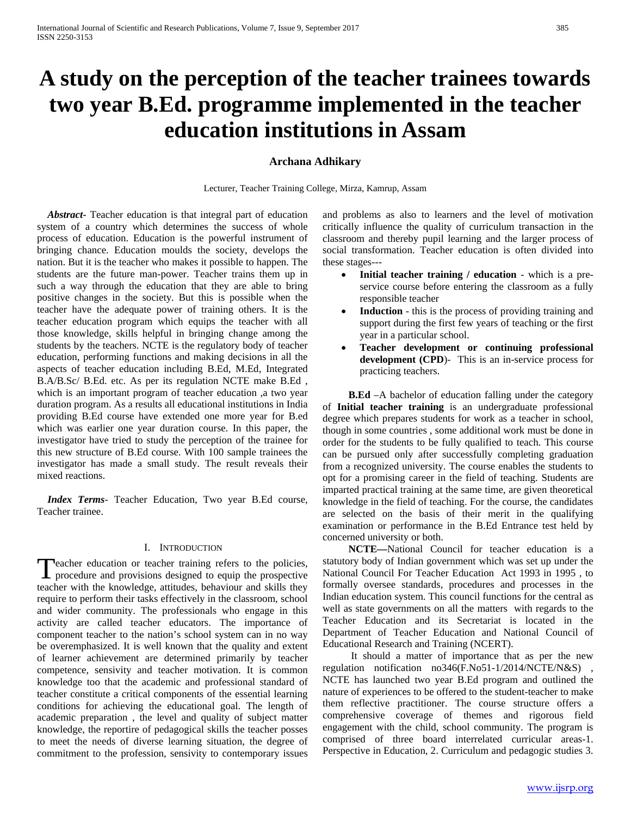# **A study on the perception of the teacher trainees towards two year B.Ed. programme implemented in the teacher education institutions in Assam**

# **Archana Adhikary**

Lecturer, Teacher Training College, Mirza, Kamrup, Assam

 *Abstract***-** Teacher education is that integral part of education system of a country which determines the success of whole process of education. Education is the powerful instrument of bringing chance. Education moulds the society, develops the nation. But it is the teacher who makes it possible to happen. The students are the future man-power. Teacher trains them up in such a way through the education that they are able to bring positive changes in the society. But this is possible when the teacher have the adequate power of training others. It is the teacher education program which equips the teacher with all those knowledge, skills helpful in bringing change among the students by the teachers. NCTE is the regulatory body of teacher education, performing functions and making decisions in all the aspects of teacher education including B.Ed, M.Ed, Integrated B.A/B.Sc/ B.Ed. etc. As per its regulation NCTE make B.Ed , which is an important program of teacher education ,a two year duration program. As a results all educational institutions in India providing B.Ed course have extended one more year for B.ed which was earlier one year duration course. In this paper, the investigator have tried to study the perception of the trainee for this new structure of B.Ed course. With 100 sample trainees the investigator has made a small study. The result reveals their mixed reactions.

 *Index Terms*- Teacher Education, Two year B.Ed course, Teacher trainee.

## I. INTRODUCTION

**Peacher education or teacher training refers to the policies,** Teacher education or teacher training refers to the policies,<br>procedure and provisions designed to equip the prospective<br>the deal of the deal of the deal of the deal of the deal teacher with the knowledge, attitudes, behaviour and skills they require to perform their tasks effectively in the classroom, school and wider community. The professionals who engage in this activity are called teacher educators. The importance of component teacher to the nation's school system can in no way be overemphasized. It is well known that the quality and extent of learner achievement are determined primarily by teacher competence, sensivity and teacher motivation. It is common knowledge too that the academic and professional standard of teacher constitute a critical components of the essential learning conditions for achieving the educational goal. The length of academic preparation , the level and quality of subject matter knowledge, the reportire of pedagogical skills the teacher posses to meet the needs of diverse learning situation, the degree of commitment to the profession, sensivity to contemporary issues

and problems as also to learners and the level of motivation critically influence the quality of curriculum transaction in the classroom and thereby pupil learning and the larger process of social transformation. Teacher education is often divided into these stages---

- **Initial teacher training / education** which is a preservice course before entering the classroom as a fully responsible teacher
- Induction this is the process of providing training and support during the first few years of teaching or the first year in a particular school.
- **Teacher development or continuing professional development (CPD**)- This is an in-service process for practicing teachers.

 **B.Ed** –A bachelor of education falling under the category of **Initial teacher training** is an undergraduate professional degree which prepares students for work as a teacher in school, though in some countries , some additional work must be done in order for the students to be fully qualified to teach. This course can be pursued only after successfully completing graduation from a recognized university. The course enables the students to opt for a promising career in the field of teaching. Students are imparted practical training at the same time, are given theoretical knowledge in the field of teaching. For the course, the candidates are selected on the basis of their merit in the qualifying examination or performance in the B.Ed Entrance test held by concerned university or both.

 **NCTE—**National Council for teacher education is a statutory body of Indian government which was set up under the National Council For Teacher Education Act 1993 in 1995 , to formally oversee standards, procedures and processes in the Indian education system. This council functions for the central as well as state governments on all the matters with regards to the Teacher Education and its Secretariat is located in the Department of Teacher Education and National Council of Educational Research and Training (NCERT).

It should a matter of importance that as per the new regulation notification no346(F.No51-1/2014/NCTE/N&S) , NCTE has launched two year B.Ed program and outlined the nature of experiences to be offered to the student-teacher to make them reflective practitioner. The course structure offers a comprehensive coverage of themes and rigorous field engagement with the child, school community. The program is comprised of three board interrelated curricular areas-1. Perspective in Education, 2. Curriculum and pedagogic studies 3.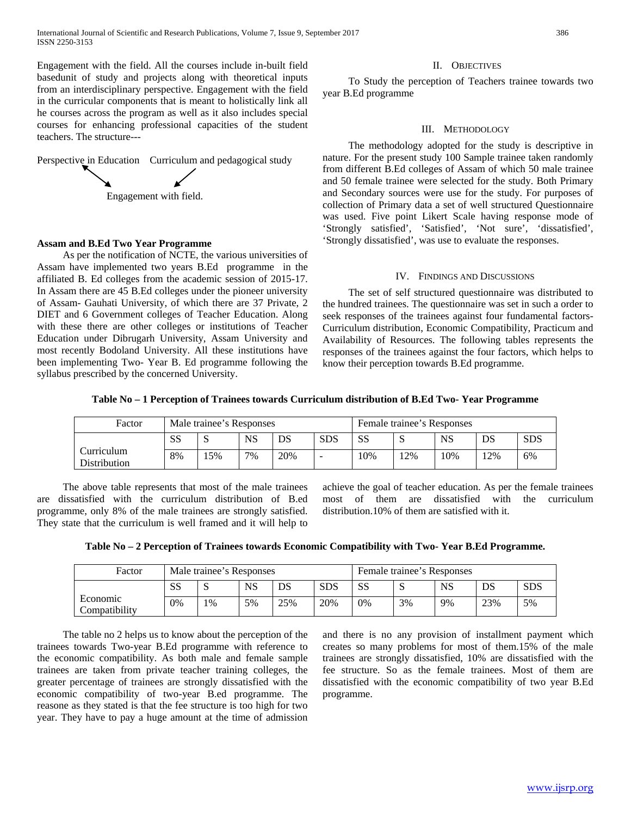Engagement with the field. All the courses include in-built field basedunit of study and projects along with theoretical inputs from an interdisciplinary perspective. Engagement with the field in the curricular components that is meant to holistically link all he courses across the program as well as it also includes special courses for enhancing professional capacities of the student teachers. The structure---

Perspective in Education Curriculum and pedagogical study



### **Assam and B.Ed Two Year Programme**

 As per the notification of NCTE, the various universities of Assam have implemented two years B.Ed programme in the affiliated B. Ed colleges from the academic session of 2015-17. In Assam there are 45 B.Ed colleges under the pioneer university of Assam- Gauhati University, of which there are 37 Private, 2 DIET and 6 Government colleges of Teacher Education. Along with these there are other colleges or institutions of Teacher Education under Dibrugarh University, Assam University and most recently Bodoland University. All these institutions have been implementing Two- Year B. Ed programme following the syllabus prescribed by the concerned University.

### II. OBJECTIVES

 To Study the perception of Teachers trainee towards two year B.Ed programme

#### III. METHODOLOGY

 The methodology adopted for the study is descriptive in nature. For the present study 100 Sample trainee taken randomly from different B.Ed colleges of Assam of which 50 male trainee and 50 female trainee were selected for the study. Both Primary and Secondary sources were use for the study. For purposes of collection of Primary data a set of well structured Questionnaire was used. Five point Likert Scale having response mode of 'Strongly satisfied', 'Satisfied', 'Not sure', 'dissatisfied', 'Strongly dissatisfied', was use to evaluate the responses.

#### IV. FINDINGS AND DISCUSSIONS

 The set of self structured questionnaire was distributed to the hundred trainees. The questionnaire was set in such a order to seek responses of the trainees against four fundamental factors-Curriculum distribution, Economic Compatibility, Practicum and Availability of Resources. The following tables represents the responses of the trainees against the four factors, which helps to know their perception towards B.Ed programme.

**Table No – 1 Perception of Trainees towards Curriculum distribution of B.Ed Two- Year Programme**

| Factor                            | Male trainee's Responses |     |           |     |                | Female trainee's Responses |     |     |     |            |
|-----------------------------------|--------------------------|-----|-----------|-----|----------------|----------------------------|-----|-----|-----|------------|
|                                   | ΩC<br>دي                 | د،  | <b>NS</b> | DS  | <b>SDS</b>     | <b>SS</b>                  | N   | NS  | DS  | <b>SDS</b> |
| Curriculum<br><b>Distribution</b> | 8%                       | 15% | 7%        | 20% | $\overline{a}$ | 10%                        | 12% | 10% | 12% | 6%         |

 The above table represents that most of the male trainees are dissatisfied with the curriculum distribution of B.ed programme, only 8% of the male trainees are strongly satisfied. They state that the curriculum is well framed and it will help to

achieve the goal of teacher education. As per the female trainees most of them are dissatisfied with the curriculum distribution.10% of them are satisfied with it.

|  |  |  | Table No - 2 Perception of Trainees towards Economic Compatibility with Two-Year B.Ed Programme. |
|--|--|--|--------------------------------------------------------------------------------------------------|
|  |  |  |                                                                                                  |

| Factor                    | Male trainee's Responses |       |           |     |            | Female trainee's Responses |    |           |     |            |
|---------------------------|--------------------------|-------|-----------|-----|------------|----------------------------|----|-----------|-----|------------|
|                           | <b>SS</b>                | N     | <b>NS</b> | DS  | <b>SDS</b> | SS                         | ◡  | <b>NS</b> | DS  | <b>SDS</b> |
| Economic<br>Compatibility | 0%                       | $1\%$ | 5%        | 25% | 20%        | 0%                         | 3% | 9%        | 23% | 5%         |

 The table no 2 helps us to know about the perception of the trainees towards Two-year B.Ed programme with reference to the economic compatibility. As both male and female sample trainees are taken from private teacher training colleges, the greater percentage of trainees are strongly dissatisfied with the economic compatibility of two-year B.ed programme. The reasone as they stated is that the fee structure is too high for two year. They have to pay a huge amount at the time of admission and there is no any provision of installment payment which creates so many problems for most of them.15% of the male trainees are strongly dissatisfied, 10% are dissatisfied with the fee structure. So as the female trainees. Most of them are dissatisfied with the economic compatibility of two year B.Ed programme.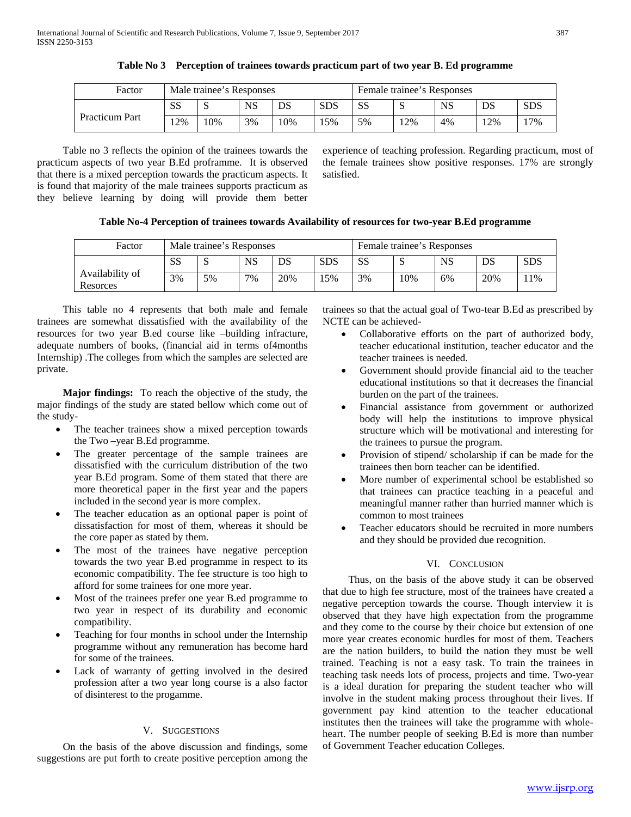| Factor                | Male trainee's Responses |     |           |     |            | Female trainee's Responses |        |           |     |            |
|-----------------------|--------------------------|-----|-----------|-----|------------|----------------------------|--------|-----------|-----|------------|
| <b>Practicum Part</b> | SS                       |     | <b>NS</b> | DS  | <b>SDS</b> | <b>SS</b>                  | N      | <b>NS</b> | DS  | <b>SDS</b> |
|                       | <sup>2%</sup>            | 10% | 3%        | 10% | 15%        | 5%                         | $12\%$ | 4%        | 12% | 17%        |

**Table No 3 Perception of trainees towards practicum part of two year B. Ed programme**

 Table no 3 reflects the opinion of the trainees towards the practicum aspects of two year B.Ed proframme. It is observed that there is a mixed perception towards the practicum aspects. It is found that majority of the male trainees supports practicum as they believe learning by doing will provide them better experience of teaching profession. Regarding practicum, most of the female trainees show positive responses. 17% are strongly satisfied.

# **Table No-4 Perception of trainees towards Availability of resources for two-year B.Ed programme**

| Factor                      | Male trainee's Responses |    |    |     |            | Female trainee's Responses |     |    |     |            |
|-----------------------------|--------------------------|----|----|-----|------------|----------------------------|-----|----|-----|------------|
|                             | SS                       | د، | NS | DS  | <b>SDS</b> | <b>SS</b>                  | ю   | NS | DS  | <b>SDS</b> |
| Availability of<br>Resorces | 3%                       | 5% | 7% | 20% | 15%        | 3%                         | 10% | 6% | 20% | 11%        |

 This table no 4 represents that both male and female trainees are somewhat dissatisfied with the availability of the resources for two year B.ed course like –building infracture, adequate numbers of books, (financial aid in terms of4months Internship) .The colleges from which the samples are selected are private.

 **Major findings:** To reach the objective of the study, the major findings of the study are stated bellow which come out of the study-

- The teacher trainees show a mixed perception towards the Two –year B.Ed programme.
- The greater percentage of the sample trainees are dissatisfied with the curriculum distribution of the two year B.Ed program. Some of them stated that there are more theoretical paper in the first year and the papers included in the second year is more complex.
- The teacher education as an optional paper is point of dissatisfaction for most of them, whereas it should be the core paper as stated by them.
- The most of the trainees have negative perception towards the two year B.ed programme in respect to its economic compatibility. The fee structure is too high to afford for some trainees for one more year.
- Most of the trainees prefer one year B.ed programme to two year in respect of its durability and economic compatibility.
- Teaching for four months in school under the Internship programme without any remuneration has become hard for some of the trainees.
- Lack of warranty of getting involved in the desired profession after a two year long course is a also factor of disinterest to the progamme.

# V. SUGGESTIONS

 On the basis of the above discussion and findings, some suggestions are put forth to create positive perception among the trainees so that the actual goal of Two-tear B.Ed as prescribed by NCTE can be achieved-

- Collaborative efforts on the part of authorized body, teacher educational institution, teacher educator and the teacher trainees is needed.
- Government should provide financial aid to the teacher educational institutions so that it decreases the financial burden on the part of the trainees.
- Financial assistance from government or authorized body will help the institutions to improve physical structure which will be motivational and interesting for the trainees to pursue the program.
- Provision of stipend/ scholarship if can be made for the trainees then born teacher can be identified.
- More number of experimental school be established so that trainees can practice teaching in a peaceful and meaningful manner rather than hurried manner which is common to most trainees
- Teacher educators should be recruited in more numbers and they should be provided due recognition.

# VI. CONCLUSION

 Thus, on the basis of the above study it can be observed that due to high fee structure, most of the trainees have created a negative perception towards the course. Though interview it is observed that they have high expectation from the programme and they come to the course by their choice but extension of one more year creates economic hurdles for most of them. Teachers are the nation builders, to build the nation they must be well trained. Teaching is not a easy task. To train the trainees in teaching task needs lots of process, projects and time. Two-year is a ideal duration for preparing the student teacher who will involve in the student making process throughout their lives. If government pay kind attention to the teacher educational institutes then the trainees will take the programme with wholeheart. The number people of seeking B.Ed is more than number of Government Teacher education Colleges.